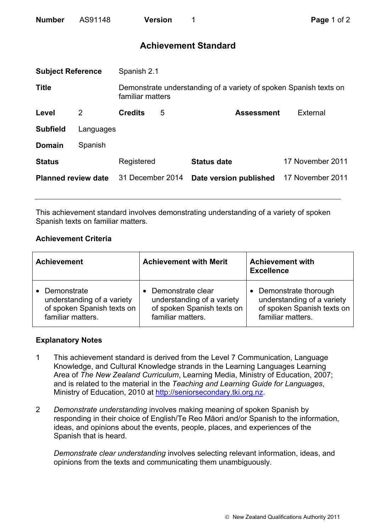| <b>Number</b> | AS91148 | <b>Version</b> |  |
|---------------|---------|----------------|--|
|               |         |                |  |

# **Achievement Standard**

| <b>Subject Reference</b>   |           | Spanish 2.1      |   |                                                                   |                  |  |
|----------------------------|-----------|------------------|---|-------------------------------------------------------------------|------------------|--|
| <b>Title</b>               |           | familiar matters |   | Demonstrate understanding of a variety of spoken Spanish texts on |                  |  |
| Level                      | 2         | <b>Credits</b>   | 5 | <b>Assessment</b>                                                 | External         |  |
| <b>Subfield</b>            | Languages |                  |   |                                                                   |                  |  |
| <b>Domain</b>              | Spanish   |                  |   |                                                                   |                  |  |
| <b>Status</b>              |           | Registered       |   | <b>Status date</b>                                                | 17 November 2011 |  |
| <b>Planned review date</b> |           | 31 December 2014 |   | Date version published                                            | 17 November 2011 |  |
|                            |           |                  |   |                                                                   |                  |  |

This achievement standard involves demonstrating understanding of a variety of spoken Spanish texts on familiar matters.

## **Achievement Criteria**

| <b>Achievement</b>         | <b>Achievement with Merit</b> | <b>Achievement with</b><br><b>Excellence</b> |
|----------------------------|-------------------------------|----------------------------------------------|
| Demonstrate                | Demonstrate clear             | • Demonstrate thorough                       |
| understanding of a variety | understanding of a variety    | understanding of a variety                   |
| of spoken Spanish texts on | of spoken Spanish texts on    | of spoken Spanish texts on                   |
| familiar matters.          | familiar matters.             | familiar matters.                            |

#### **Explanatory Notes**

- 1 This achievement standard is derived from the Level 7 Communication, Language Knowledge, and Cultural Knowledge strands in the Learning Languages Learning Area of *The New Zealand Curriculum*, Learning Media, Ministry of Education, 2007; and is related to the material in the *Teaching and Learning Guide for Languages*, Ministry of Education, 2010 at http://seniorsecondary.tki.org.nz.
- 2 *Demonstrate understanding* involves making meaning of spoken Spanish by responding in their choice of English/Te Reo Māori and/or Spanish to the information, ideas, and opinions about the events, people, places, and experiences of the Spanish that is heard.

*Demonstrate clear understanding* involves selecting relevant information, ideas, and opinions from the texts and communicating them unambiguously.